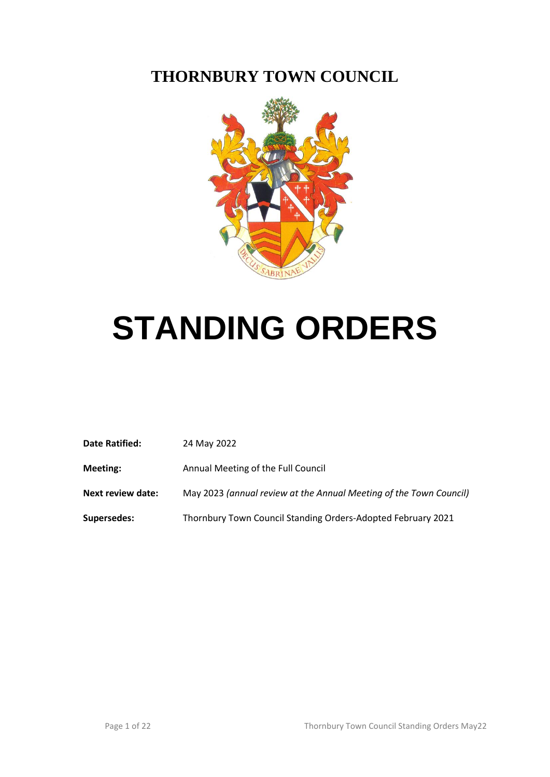# **THORNBURY TOWN COUNCIL**



# **STANDING ORDERS**

| <b>Date Ratified:</b>    | 24 May 2022                                                        |
|--------------------------|--------------------------------------------------------------------|
| <b>Meeting:</b>          | Annual Meeting of the Full Council                                 |
| <b>Next review date:</b> | May 2023 (annual review at the Annual Meeting of the Town Council) |
| <b>Supersedes:</b>       | Thornbury Town Council Standing Orders-Adopted February 2021       |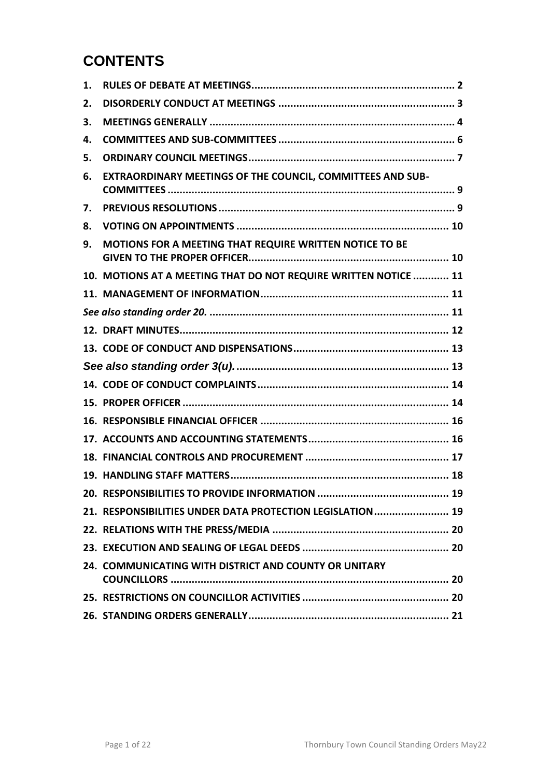# **CONTENTS**

| 1. |                                                                 |
|----|-----------------------------------------------------------------|
| 2. |                                                                 |
| 3. |                                                                 |
| 4. |                                                                 |
| 5. |                                                                 |
| 6. | EXTRAORDINARY MEETINGS OF THE COUNCIL, COMMITTEES AND SUB-      |
| 7. |                                                                 |
| 8. |                                                                 |
| 9. | MOTIONS FOR A MEETING THAT REQUIRE WRITTEN NOTICE TO BE         |
|    | 10. MOTIONS AT A MEETING THAT DO NOT REQUIRE WRITTEN NOTICE  11 |
|    |                                                                 |
|    |                                                                 |
|    |                                                                 |
|    |                                                                 |
|    |                                                                 |
|    |                                                                 |
|    |                                                                 |
|    |                                                                 |
|    |                                                                 |
|    |                                                                 |
|    |                                                                 |
|    |                                                                 |
|    | 21. RESPONSIBILITIES UNDER DATA PROTECTION LEGISLATION  19      |
|    |                                                                 |
|    |                                                                 |
|    | 24. COMMUNICATING WITH DISTRICT AND COUNTY OR UNITARY           |
|    |                                                                 |
|    |                                                                 |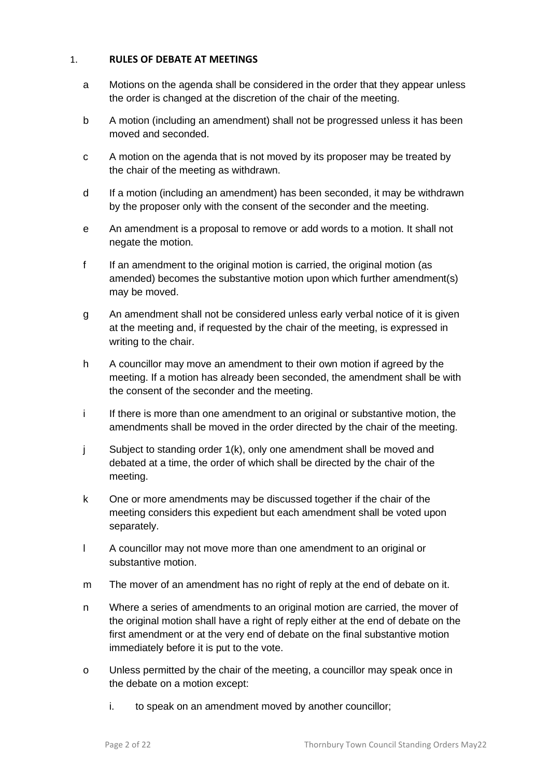# <span id="page-2-0"></span>1. **RULES OF DEBATE AT MEETINGS**

- a Motions on the agenda shall be considered in the order that they appear unless the order is changed at the discretion of the chair of the meeting.
- b A motion (including an amendment) shall not be progressed unless it has been moved and seconded.
- c A motion on the agenda that is not moved by its proposer may be treated by the chair of the meeting as withdrawn.
- d If a motion (including an amendment) has been seconded, it may be withdrawn by the proposer only with the consent of the seconder and the meeting.
- e An amendment is a proposal to remove or add words to a motion. It shall not negate the motion.
- f If an amendment to the original motion is carried, the original motion (as amended) becomes the substantive motion upon which further amendment(s) may be moved.
- g An amendment shall not be considered unless early verbal notice of it is given at the meeting and, if requested by the chair of the meeting, is expressed in writing to the chair.
- h A councillor may move an amendment to their own motion if agreed by the meeting. If a motion has already been seconded, the amendment shall be with the consent of the seconder and the meeting.
- i If there is more than one amendment to an original or substantive motion, the amendments shall be moved in the order directed by the chair of the meeting.
- j Subject to standing order 1(k), only one amendment shall be moved and debated at a time, the order of which shall be directed by the chair of the meeting.
- k One or more amendments may be discussed together if the chair of the meeting considers this expedient but each amendment shall be voted upon separately.
- l A councillor may not move more than one amendment to an original or substantive motion.
- m The mover of an amendment has no right of reply at the end of debate on it.
- n Where a series of amendments to an original motion are carried, the mover of the original motion shall have a right of reply either at the end of debate on the first amendment or at the very end of debate on the final substantive motion immediately before it is put to the vote.
- o Unless permitted by the chair of the meeting, a councillor may speak once in the debate on a motion except:
	- i. to speak on an amendment moved by another councillor;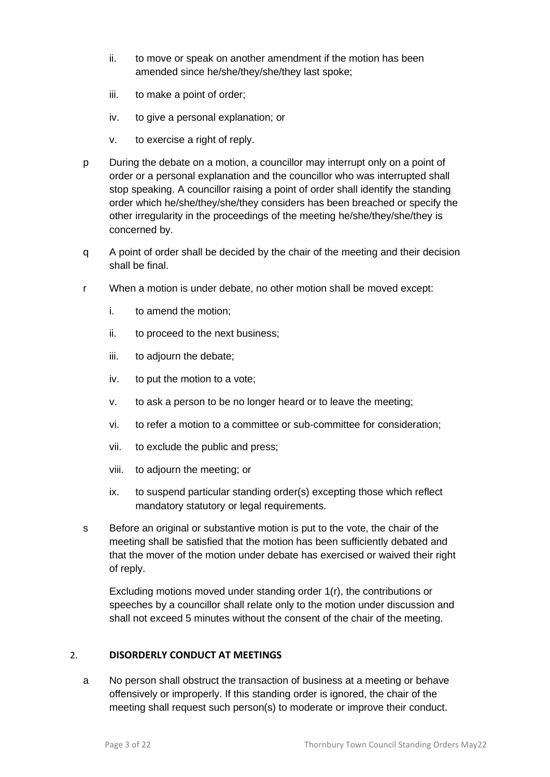- ii. to move or speak on another amendment if the motion has been amended since he/she/they/she/they last spoke;
- iii. to make a point of order;
- iv. to give a personal explanation; or
- v. to exercise a right of reply.
- p During the debate on a motion, a councillor may interrupt only on a point of order or a personal explanation and the councillor who was interrupted shall stop speaking. A councillor raising a point of order shall identify the standing order which he/she/they/she/they considers has been breached or specify the other irregularity in the proceedings of the meeting he/she/they/she/they is concerned by.
- q A point of order shall be decided by the chair of the meeting and their decision shall be final.
- r When a motion is under debate, no other motion shall be moved except:
	- i. to amend the motion;
	- ii. to proceed to the next business;
	- iii. to adjourn the debate;
	- iv. to put the motion to a vote;
	- v. to ask a person to be no longer heard or to leave the meeting;
	- vi. to refer a motion to a committee or sub-committee for consideration;
	- vii. to exclude the public and press;
	- viii. to adjourn the meeting; or
	- ix. to suspend particular standing order(s) excepting those which reflect mandatory statutory or legal requirements.
- s Before an original or substantive motion is put to the vote, the chair of the meeting shall be satisfied that the motion has been sufficiently debated and that the mover of the motion under debate has exercised or waived their right of reply.

Excluding motions moved under standing order 1(r), the contributions or speeches by a councillor shall relate only to the motion under discussion and shall not exceed 5 minutes without the consent of the chair of the meeting.

# <span id="page-3-0"></span>2. **DISORDERLY CONDUCT AT MEETINGS**

a No person shall obstruct the transaction of business at a meeting or behave offensively or improperly. If this standing order is ignored, the chair of the meeting shall request such person(s) to moderate or improve their conduct.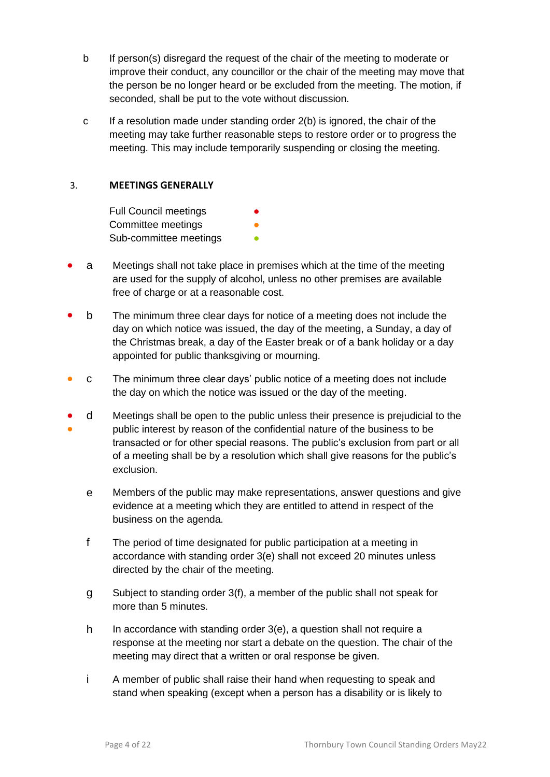- b If person(s) disregard the request of the chair of the meeting to moderate or improve their conduct, any councillor or the chair of the meeting may move that the person be no longer heard or be excluded from the meeting. The motion, if seconded, shall be put to the vote without discussion.
- c If a resolution made under standing order 2(b) is ignored, the chair of the meeting may take further reasonable steps to restore order or to progress the meeting. This may include temporarily suspending or closing the meeting.

# <span id="page-4-0"></span>3. **MEETINGS GENERALLY**

**Full Council meetings** Committee meetings Sub-committee meetings **•** 

- a Meetings shall not take place in premises which at the time of the meeting are used for the supply of alcohol, unless no other premises are available free of charge or at a reasonable cost.
- b The minimum three clear days for notice of a meeting does not include the day on which notice was issued, the day of the meeting, a Sunday, a day of the Christmas break, a day of the Easter break or of a bank holiday or a day appointed for public thanksgiving or mourning.
- C The minimum three clear days' public notice of a meeting does not include the day on which the notice was issued or the day of the meeting.
- ● d Meetings shall be open to the public unless their presence is prejudicial to the public interest by reason of the confidential nature of the business to be transacted or for other special reasons. The public's exclusion from part or all of a meeting shall be by a resolution which shall give reasons for the public's exclusion.
	- e Members of the public may make representations, answer questions and give evidence at a meeting which they are entitled to attend in respect of the business on the agenda.
	- f The period of time designated for public participation at a meeting in accordance with standing order 3(e) shall not exceed 20 minutes unless directed by the chair of the meeting.
	- g Subject to standing order 3(f), a member of the public shall not speak for more than 5 minutes.
	- h In accordance with standing order 3(e), a question shall not require a response at the meeting nor start a debate on the question. The chair of the meeting may direct that a written or oral response be given.
	- i A member of public shall raise their hand when requesting to speak and stand when speaking (except when a person has a disability or is likely to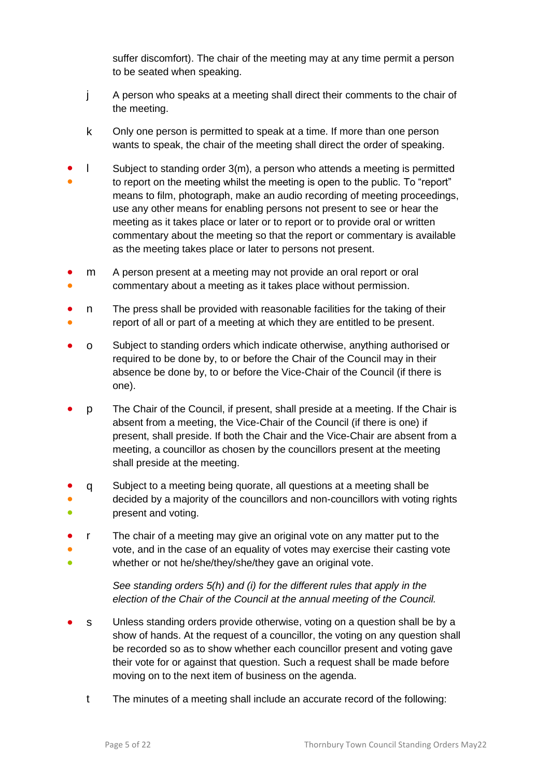suffer discomfort). The chair of the meeting may at any time permit a person to be seated when speaking.

- j A person who speaks at a meeting shall direct their comments to the chair of the meeting.
- k Only one person is permitted to speak at a time. If more than one person wants to speak, the chair of the meeting shall direct the order of speaking.
- ● l Subject to standing order 3(m), a person who attends a meeting is permitted to report on the meeting whilst the meeting is open to the public. To "report" means to film, photograph, make an audio recording of meeting proceedings, use any other means for enabling persons not present to see or hear the meeting as it takes place or later or to report or to provide oral or written commentary about the meeting so that the report or commentary is available as the meeting takes place or later to persons not present.
- ● m A person present at a meeting may not provide an oral report or oral commentary about a meeting as it takes place without permission.
- ● n The press shall be provided with reasonable facilities for the taking of their report of all or part of a meeting at which they are entitled to be present.
- o Subject to standing orders which indicate otherwise, anything authorised or required to be done by, to or before the Chair of the Council may in their absence be done by, to or before the Vice-Chair of the Council (if there is one).
- p The Chair of the Council, if present, shall preside at a meeting. If the Chair is absent from a meeting, the Vice-Chair of the Council (if there is one) if present, shall preside. If both the Chair and the Vice-Chair are absent from a meeting, a councillor as chosen by the councillors present at the meeting shall preside at the meeting.
- ● q Subject to a meeting being quorate, all questions at a meeting shall be decided by a majority of the councillors and non-councillors with voting rights
- present and voting.
- r The chair of a meeting may give an original vote on any matter put to the
- ● vote, and in the case of an equality of votes may exercise their casting vote whether or not he/she/they/she/they gave an original vote.

*See standing orders 5(h) and (i) for the different rules that apply in the election of the Chair of the Council at the annual meeting of the Council.*

- s Unless standing orders provide otherwise, voting on a question shall be by a show of hands. At the request of a councillor, the voting on any question shall be recorded so as to show whether each councillor present and voting gave their vote for or against that question. Such a request shall be made before moving on to the next item of business on the agenda.
	- t The minutes of a meeting shall include an accurate record of the following: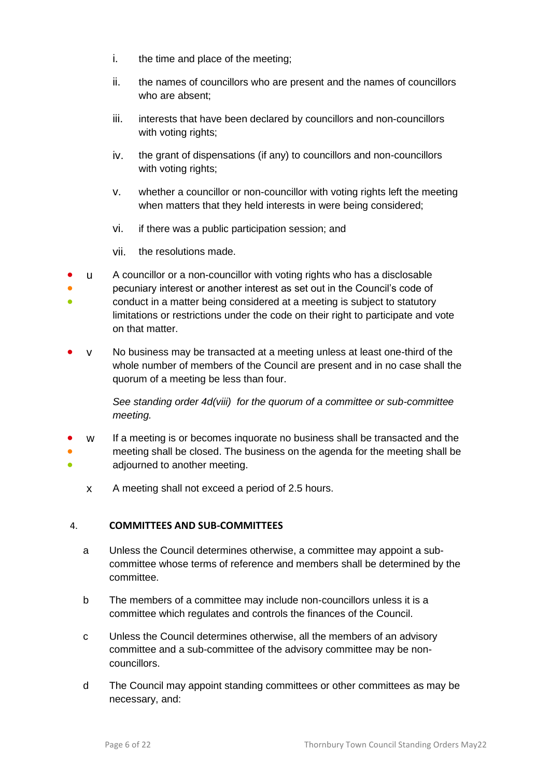- i. the time and place of the meeting;
- ii. the names of councillors who are present and the names of councillors who are absent;
- iii. interests that have been declared by councillors and non-councillors with voting rights;
- iv. the grant of dispensations (if any) to councillors and non-councillors with voting rights;
- v. whether a councillor or non-councillor with voting rights left the meeting when matters that they held interests in were being considered;
- vi. if there was a public participation session; and
- vii. the resolutions made.
- u A councillor or a non-councillor with voting rights who has a disclosable
- pecuniary interest or another interest as set out in the Council's code of
- conduct in a matter being considered at a meeting is subject to statutory limitations or restrictions under the code on their right to participate and vote on that matter.
- y No business may be transacted at a meeting unless at least one-third of the whole number of members of the Council are present and in no case shall the quorum of a meeting be less than four.

*See standing order 4d(viii) for the quorum of a committee or sub-committee meeting.* 

- ● ● w If a meeting is or becomes inquorate no business shall be transacted and the meeting shall be closed. The business on the agenda for the meeting shall be adjourned to another meeting.
	- x A meeting shall not exceed a period of 2.5 hours.

# <span id="page-6-0"></span>4. **COMMITTEES AND SUB-COMMITTEES**

- a Unless the Council determines otherwise, a committee may appoint a subcommittee whose terms of reference and members shall be determined by the committee.
- b The members of a committee may include non-councillors unless it is a committee which regulates and controls the finances of the Council.
- c Unless the Council determines otherwise, all the members of an advisory committee and a sub-committee of the advisory committee may be noncouncillors.
- d The Council may appoint standing committees or other committees as may be necessary, and: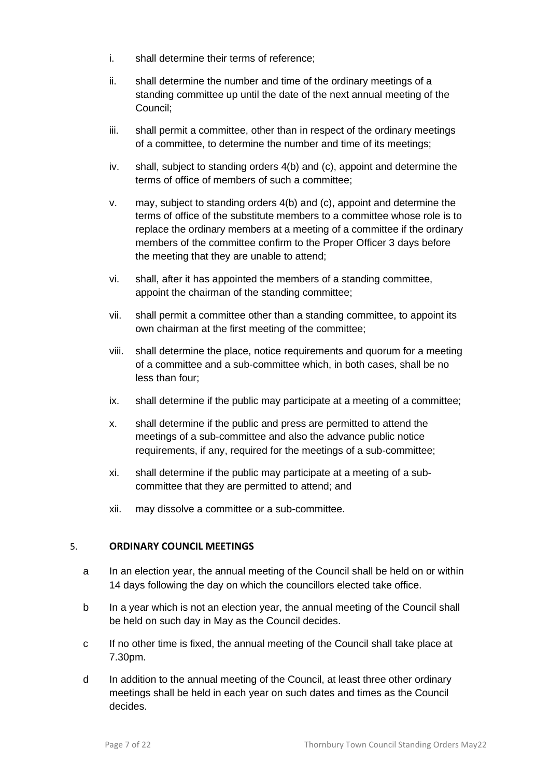- i. shall determine their terms of reference;
- ii. shall determine the number and time of the ordinary meetings of a standing committee up until the date of the next annual meeting of the Council;
- iii. shall permit a committee, other than in respect of the ordinary meetings of a committee, to determine the number and time of its meetings;
- iv. shall, subject to standing orders 4(b) and (c), appoint and determine the terms of office of members of such a committee;
- v. may, subject to standing orders 4(b) and (c), appoint and determine the terms of office of the substitute members to a committee whose role is to replace the ordinary members at a meeting of a committee if the ordinary members of the committee confirm to the Proper Officer 3 days before the meeting that they are unable to attend;
- vi. shall, after it has appointed the members of a standing committee, appoint the chairman of the standing committee;
- vii. shall permit a committee other than a standing committee, to appoint its own chairman at the first meeting of the committee;
- viii. shall determine the place, notice requirements and quorum for a meeting of a committee and a sub-committee which, in both cases, shall be no less than four;
- ix. shall determine if the public may participate at a meeting of a committee;
- x. shall determine if the public and press are permitted to attend the meetings of a sub-committee and also the advance public notice requirements, if any, required for the meetings of a sub-committee;
- xi. shall determine if the public may participate at a meeting of a subcommittee that they are permitted to attend; and
- xii. may dissolve a committee or a sub-committee.

#### <span id="page-7-0"></span>5. **ORDINARY COUNCIL MEETINGS**

- a In an election year, the annual meeting of the Council shall be held on or within 14 days following the day on which the councillors elected take office.
- b In a year which is not an election year, the annual meeting of the Council shall be held on such day in May as the Council decides.
- c If no other time is fixed, the annual meeting of the Council shall take place at 7.30pm.
- d In addition to the annual meeting of the Council, at least three other ordinary meetings shall be held in each year on such dates and times as the Council decides.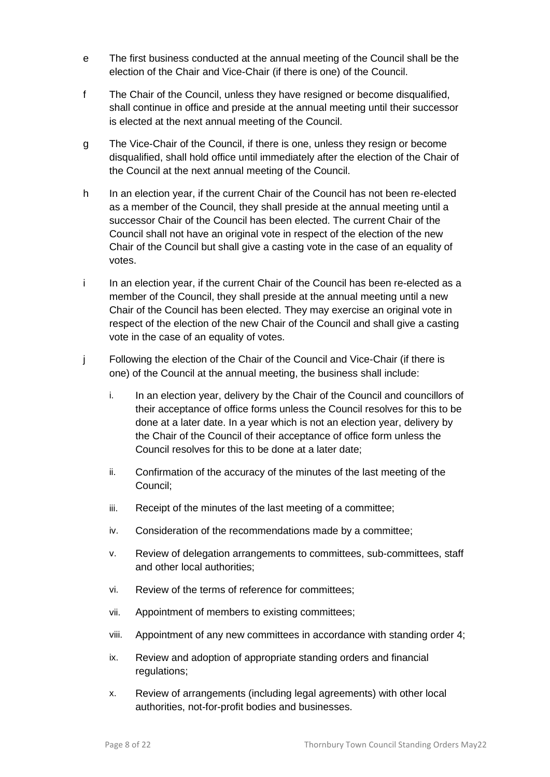- e The first business conducted at the annual meeting of the Council shall be the election of the Chair and Vice-Chair (if there is one) of the Council.
- f The Chair of the Council, unless they have resigned or become disqualified, shall continue in office and preside at the annual meeting until their successor is elected at the next annual meeting of the Council.
- g The Vice-Chair of the Council, if there is one, unless they resign or become disqualified, shall hold office until immediately after the election of the Chair of the Council at the next annual meeting of the Council.
- h In an election year, if the current Chair of the Council has not been re-elected as a member of the Council, they shall preside at the annual meeting until a successor Chair of the Council has been elected. The current Chair of the Council shall not have an original vote in respect of the election of the new Chair of the Council but shall give a casting vote in the case of an equality of votes.
- i In an election year, if the current Chair of the Council has been re-elected as a member of the Council, they shall preside at the annual meeting until a new Chair of the Council has been elected. They may exercise an original vote in respect of the election of the new Chair of the Council and shall give a casting vote in the case of an equality of votes.
- j Following the election of the Chair of the Council and Vice-Chair (if there is one) of the Council at the annual meeting, the business shall include:
	- i. In an election year, delivery by the Chair of the Council and councillors of their acceptance of office forms unless the Council resolves for this to be done at a later date. In a year which is not an election year, delivery by the Chair of the Council of their acceptance of office form unless the Council resolves for this to be done at a later date;
	- ii. Confirmation of the accuracy of the minutes of the last meeting of the Council;
	- iii. Receipt of the minutes of the last meeting of a committee;
	- iv. Consideration of the recommendations made by a committee;
	- v. Review of delegation arrangements to committees, sub-committees, staff and other local authorities;
	- vi. Review of the terms of reference for committees;
	- vii. Appointment of members to existing committees;
	- viii. Appointment of any new committees in accordance with standing order 4;
	- ix. Review and adoption of appropriate standing orders and financial regulations;
	- x. Review of arrangements (including legal agreements) with other local authorities, not-for-profit bodies and businesses.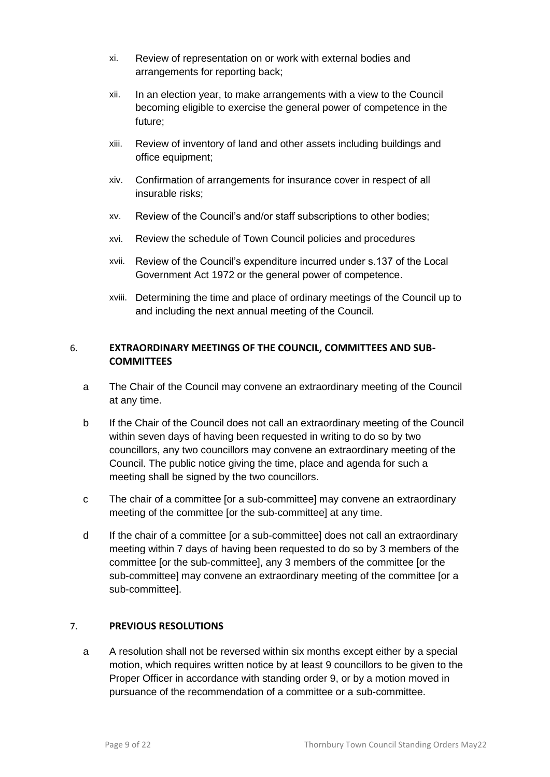- xi. Review of representation on or work with external bodies and arrangements for reporting back;
- xii. In an election year, to make arrangements with a view to the Council becoming eligible to exercise the general power of competence in the future;
- xiii. Review of inventory of land and other assets including buildings and office equipment;
- xiv. Confirmation of arrangements for insurance cover in respect of all insurable risks;
- xv. Review of the Council's and/or staff subscriptions to other bodies;
- xvi. Review the schedule of Town Council policies and procedures
- xvii. Review of the Council's expenditure incurred under s.137 of the Local Government Act 1972 or the general power of competence.
- xviii. Determining the time and place of ordinary meetings of the Council up to and including the next annual meeting of the Council.

# <span id="page-9-0"></span>6. **EXTRAORDINARY MEETINGS OF THE COUNCIL, COMMITTEES AND SUB-COMMITTEES**

- a The Chair of the Council may convene an extraordinary meeting of the Council at any time.
- b If the Chair of the Council does not call an extraordinary meeting of the Council within seven days of having been requested in writing to do so by two councillors, any two councillors may convene an extraordinary meeting of the Council. The public notice giving the time, place and agenda for such a meeting shall be signed by the two councillors.
- c The chair of a committee [or a sub-committee] may convene an extraordinary meeting of the committee [or the sub-committee] at any time.
- d If the chair of a committee [or a sub-committee] does not call an extraordinary meeting within 7 days of having been requested to do so by 3 members of the committee [or the sub-committee], any 3 members of the committee [or the sub-committee] may convene an extraordinary meeting of the committee [or a sub-committee].

# <span id="page-9-1"></span>7. **PREVIOUS RESOLUTIONS**

a A resolution shall not be reversed within six months except either by a special motion, which requires written notice by at least 9 councillors to be given to the Proper Officer in accordance with standing order 9, or by a motion moved in pursuance of the recommendation of a committee or a sub-committee.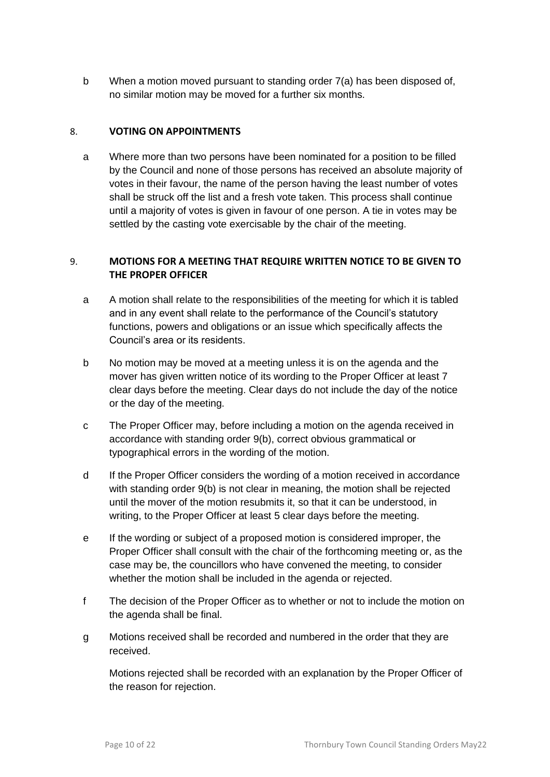b When a motion moved pursuant to standing order 7(a) has been disposed of, no similar motion may be moved for a further six months.

#### <span id="page-10-0"></span>8. **VOTING ON APPOINTMENTS**

a Where more than two persons have been nominated for a position to be filled by the Council and none of those persons has received an absolute majority of votes in their favour, the name of the person having the least number of votes shall be struck off the list and a fresh vote taken. This process shall continue until a majority of votes is given in favour of one person. A tie in votes may be settled by the casting vote exercisable by the chair of the meeting.

# <span id="page-10-1"></span>9. **MOTIONS FOR A MEETING THAT REQUIRE WRITTEN NOTICE TO BE GIVEN TO THE PROPER OFFICER**

- a A motion shall relate to the responsibilities of the meeting for which it is tabled and in any event shall relate to the performance of the Council's statutory functions, powers and obligations or an issue which specifically affects the Council's area or its residents.
- b No motion may be moved at a meeting unless it is on the agenda and the mover has given written notice of its wording to the Proper Officer at least 7 clear days before the meeting. Clear days do not include the day of the notice or the day of the meeting.
- c The Proper Officer may, before including a motion on the agenda received in accordance with standing order 9(b), correct obvious grammatical or typographical errors in the wording of the motion.
- d If the Proper Officer considers the wording of a motion received in accordance with standing order 9(b) is not clear in meaning, the motion shall be rejected until the mover of the motion resubmits it, so that it can be understood, in writing, to the Proper Officer at least 5 clear days before the meeting.
- e If the wording or subject of a proposed motion is considered improper, the Proper Officer shall consult with the chair of the forthcoming meeting or, as the case may be, the councillors who have convened the meeting, to consider whether the motion shall be included in the agenda or rejected.
- f The decision of the Proper Officer as to whether or not to include the motion on the agenda shall be final.
- g Motions received shall be recorded and numbered in the order that they are received.

Motions rejected shall be recorded with an explanation by the Proper Officer of the reason for rejection.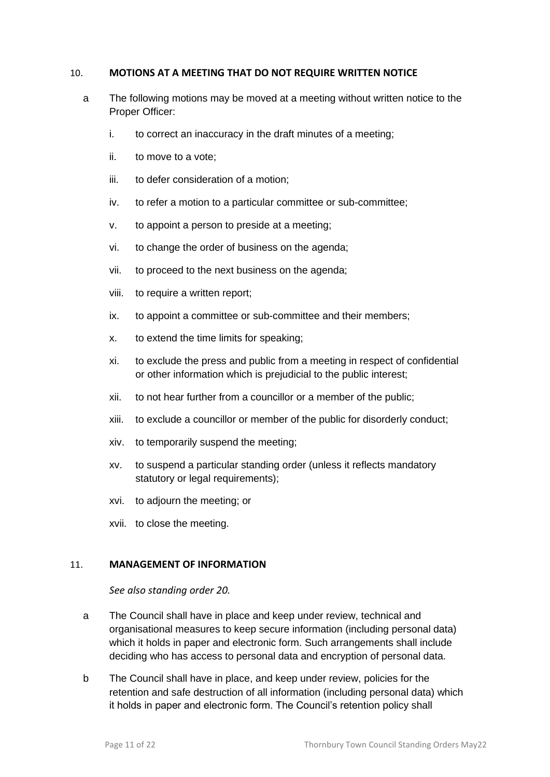#### <span id="page-11-0"></span>10. **MOTIONS AT A MEETING THAT DO NOT REQUIRE WRITTEN NOTICE**

- a The following motions may be moved at a meeting without written notice to the Proper Officer:
	- i. to correct an inaccuracy in the draft minutes of a meeting;
	- ii. to move to a vote;
	- iii. to defer consideration of a motion;
	- iv. to refer a motion to a particular committee or sub-committee;
	- v. to appoint a person to preside at a meeting;
	- vi. to change the order of business on the agenda;
	- vii. to proceed to the next business on the agenda;
	- viii. to require a written report;
	- ix. to appoint a committee or sub-committee and their members;
	- x. to extend the time limits for speaking;
	- xi. to exclude the press and public from a meeting in respect of confidential or other information which is prejudicial to the public interest;
	- xii. to not hear further from a councillor or a member of the public;
	- xiii. to exclude a councillor or member of the public for disorderly conduct;
	- xiv. to temporarily suspend the meeting;
	- xv. to suspend a particular standing order (unless it reflects mandatory statutory or legal requirements);
	- xvi. to adjourn the meeting; or
	- xvii. to close the meeting.

#### <span id="page-11-2"></span><span id="page-11-1"></span>11. **MANAGEMENT OF INFORMATION**

*See also standing order 20.*

- a The Council shall have in place and keep under review, technical and organisational measures to keep secure information (including personal data) which it holds in paper and electronic form. Such arrangements shall include deciding who has access to personal data and encryption of personal data.
- b The Council shall have in place, and keep under review, policies for the retention and safe destruction of all information (including personal data) which it holds in paper and electronic form. The Council's retention policy shall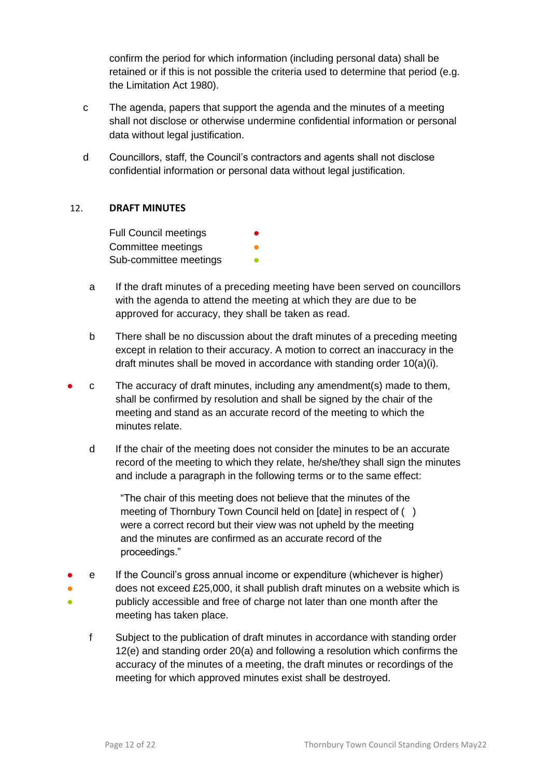confirm the period for which information (including personal data) shall be retained or if this is not possible the criteria used to determine that period (e.g. the Limitation Act 1980).

- c The agenda, papers that support the agenda and the minutes of a meeting shall not disclose or otherwise undermine confidential information or personal data without legal justification.
- d Councillors, staff, the Council's contractors and agents shall not disclose confidential information or personal data without legal justification.

# <span id="page-12-0"></span>12. **DRAFT MINUTES**

**Full Council meetings** Committee meetings **•** Sub-committee meetings **•** 

- a If the draft minutes of a preceding meeting have been served on councillors with the agenda to attend the meeting at which they are due to be approved for accuracy, they shall be taken as read.
- b There shall be no discussion about the draft minutes of a preceding meeting except in relation to their accuracy. A motion to correct an inaccuracy in the draft minutes shall be moved in accordance with standing order 10(a)(i).
- $\epsilon$  The accuracy of draft minutes, including any amendment(s) made to them, shall be confirmed by resolution and shall be signed by the chair of the meeting and stand as an accurate record of the meeting to which the minutes relate.
	- d If the chair of the meeting does not consider the minutes to be an accurate record of the meeting to which they relate, he/she/they shall sign the minutes and include a paragraph in the following terms or to the same effect:

"The chair of this meeting does not believe that the minutes of the meeting of Thornbury Town Council held on [date] in respect of ( ) were a correct record but their view was not upheld by the meeting and the minutes are confirmed as an accurate record of the proceedings."

- ● ● e If the Council's gross annual income or expenditure (whichever is higher) does not exceed £25,000, it shall publish draft minutes on a website which is publicly accessible and free of charge not later than one month after the meeting has taken place.
	- f Subject to the publication of draft minutes in accordance with standing order 12(e) and standing order 20(a) and following a resolution which confirms the accuracy of the minutes of a meeting, the draft minutes or recordings of the meeting for which approved minutes exist shall be destroyed.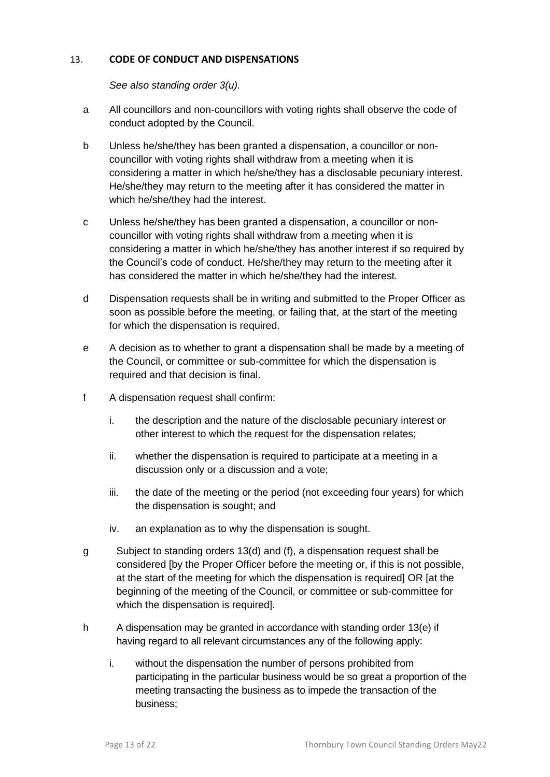# <span id="page-13-0"></span>13. **CODE OF CONDUCT AND DISPENSATIONS**

*See also standing order 3(u).* 

- <span id="page-13-1"></span>a All councillors and non-councillors with voting rights shall observe the code of conduct adopted by the Council.
- b Unless he/she/they has been granted a dispensation, a councillor or noncouncillor with voting rights shall withdraw from a meeting when it is considering a matter in which he/she/they has a disclosable pecuniary interest. He/she/they may return to the meeting after it has considered the matter in which he/she/they had the interest.
- c Unless he/she/they has been granted a dispensation, a councillor or noncouncillor with voting rights shall withdraw from a meeting when it is considering a matter in which he/she/they has another interest if so required by the Council's code of conduct. He/she/they may return to the meeting after it has considered the matter in which he/she/they had the interest.
- d Dispensation requests shall be in writing and submitted to the Proper Officer as soon as possible before the meeting, or failing that, at the start of the meeting for which the dispensation is required.
- e A decision as to whether to grant a dispensation shall be made by a meeting of the Council, or committee or sub-committee for which the dispensation is required and that decision is final.
- f A dispensation request shall confirm:
	- i. the description and the nature of the disclosable pecuniary interest or other interest to which the request for the dispensation relates;
	- ii. whether the dispensation is required to participate at a meeting in a discussion only or a discussion and a vote;
	- iii. the date of the meeting or the period (not exceeding four years) for which the dispensation is sought; and
	- iv. an explanation as to why the dispensation is sought.
- g Subject to standing orders 13(d) and (f), a dispensation request shall be considered [by the Proper Officer before the meeting or, if this is not possible, at the start of the meeting for which the dispensation is required] OR [at the beginning of the meeting of the Council, or committee or sub-committee for which the dispensation is required].
- h A dispensation may be granted in accordance with standing order 13(e) if having regard to all relevant circumstances any of the following apply:
	- i. without the dispensation the number of persons prohibited from participating in the particular business would be so great a proportion of the meeting transacting the business as to impede the transaction of the business;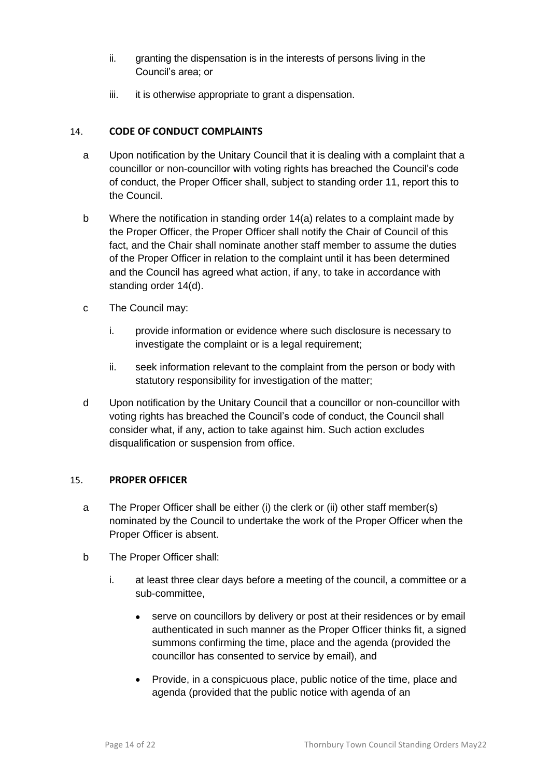- ii. granting the dispensation is in the interests of persons living in the Council's area; or
- iii. it is otherwise appropriate to grant a dispensation.

# <span id="page-14-0"></span>14. **CODE OF CONDUCT COMPLAINTS**

- a Upon notification by the Unitary Council that it is dealing with a complaint that a councillor or non-councillor with voting rights has breached the Council's code of conduct, the Proper Officer shall, subject to standing order 11, report this to the Council.
- b Where the notification in standing order 14(a) relates to a complaint made by the Proper Officer, the Proper Officer shall notify the Chair of Council of this fact, and the Chair shall nominate another staff member to assume the duties of the Proper Officer in relation to the complaint until it has been determined and the Council has agreed what action, if any, to take in accordance with standing order 14(d).
- c The Council may:
	- i. provide information or evidence where such disclosure is necessary to investigate the complaint or is a legal requirement;
	- ii. seek information relevant to the complaint from the person or body with statutory responsibility for investigation of the matter;
- d Upon notification by the Unitary Council that a councillor or non-councillor with voting rights has breached the Council's code of conduct, the Council shall consider what, if any, action to take against him. Such action excludes disqualification or suspension from office.

# <span id="page-14-1"></span>15. **PROPER OFFICER**

- a The Proper Officer shall be either (i) the clerk or (ii) other staff member(s) nominated by the Council to undertake the work of the Proper Officer when the Proper Officer is absent.
- b The Proper Officer shall:
	- i. at least three clear days before a meeting of the council, a committee or a sub-committee,
		- serve on councillors by delivery or post at their residences or by email authenticated in such manner as the Proper Officer thinks fit, a signed summons confirming the time, place and the agenda (provided the councillor has consented to service by email), and
		- Provide, in a conspicuous place, public notice of the time, place and agenda (provided that the public notice with agenda of an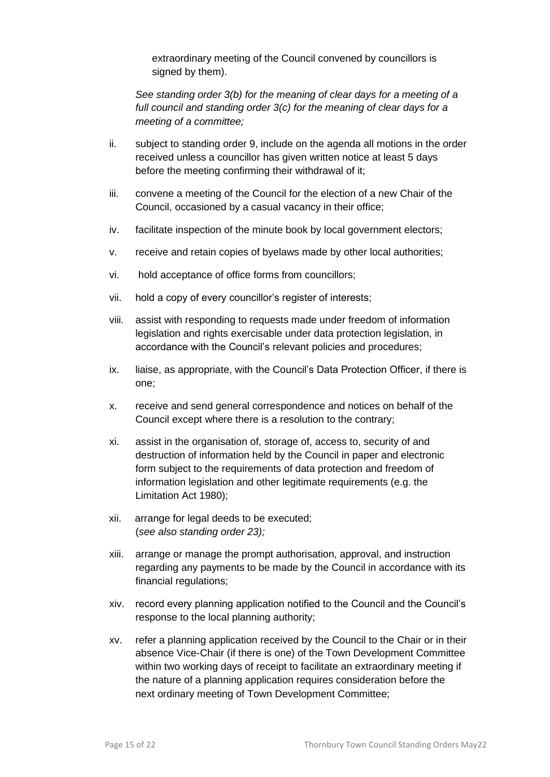extraordinary meeting of the Council convened by councillors is signed by them).

*See standing order 3(b) for the meaning of clear days for a meeting of a full council and standing order 3(c) for the meaning of clear days for a meeting of a committee;*

- ii. subject to standing order 9, include on the agenda all motions in the order received unless a councillor has given written notice at least 5 days before the meeting confirming their withdrawal of it;
- iii. convene a meeting of the Council for the election of a new Chair of the Council, occasioned by a casual vacancy in their office;
- iv. facilitate inspection of the minute book by local government electors;
- v. receive and retain copies of byelaws made by other local authorities;
- vi. hold acceptance of office forms from councillors;
- vii. hold a copy of every councillor's register of interests;
- viii. assist with responding to requests made under freedom of information legislation and rights exercisable under data protection legislation, in accordance with the Council's relevant policies and procedures;
- ix. liaise, as appropriate, with the Council's Data Protection Officer, if there is one;
- x. receive and send general correspondence and notices on behalf of the Council except where there is a resolution to the contrary;
- xi. assist in the organisation of, storage of, access to, security of and destruction of information held by the Council in paper and electronic form subject to the requirements of data protection and freedom of information legislation and other legitimate requirements (e.g. the Limitation Act 1980);
- xii. arrange for legal deeds to be executed; (*see also standing order 23);*
- xiii. arrange or manage the prompt authorisation, approval, and instruction regarding any payments to be made by the Council in accordance with its financial regulations;
- xiv. record every planning application notified to the Council and the Council's response to the local planning authority;
- xv. refer a planning application received by the Council to the Chair or in their absence Vice-Chair (if there is one) of the Town Development Committee within two working days of receipt to facilitate an extraordinary meeting if the nature of a planning application requires consideration before the next ordinary meeting of Town Development Committee;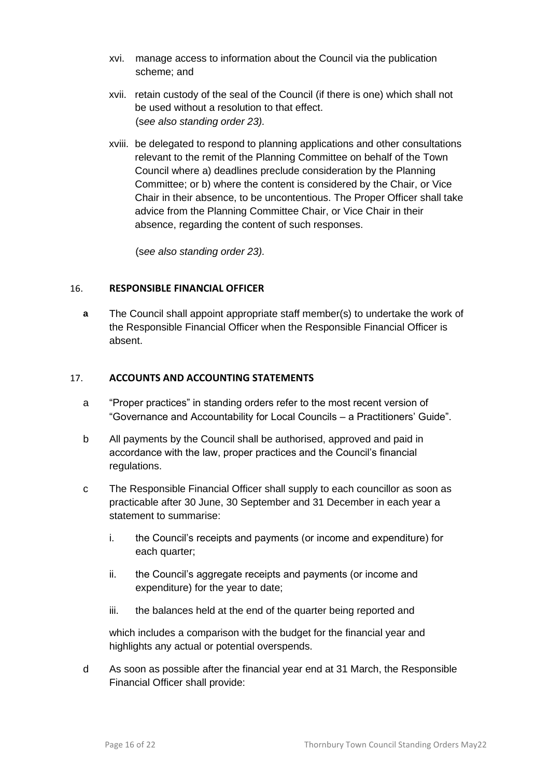- xvi. manage access to information about the Council via the publication scheme; and
- xvii. retain custody of the seal of the Council (if there is one) which shall not be used without a resolution to that effect. (s*ee also standing order 23).*
- xviii. be delegated to respond to planning applications and other consultations relevant to the remit of the Planning Committee on behalf of the Town Council where a) deadlines preclude consideration by the Planning Committee; or b) where the content is considered by the Chair, or Vice Chair in their absence, to be uncontentious. The Proper Officer shall take advice from the Planning Committee Chair, or Vice Chair in their absence, regarding the content of such responses.

(s*ee also standing order 23).*

# <span id="page-16-0"></span>16. **RESPONSIBLE FINANCIAL OFFICER**

**a** The Council shall appoint appropriate staff member(s) to undertake the work of the Responsible Financial Officer when the Responsible Financial Officer is absent.

#### <span id="page-16-1"></span>17. **ACCOUNTS AND ACCOUNTING STATEMENTS**

- a "Proper practices" in standing orders refer to the most recent version of "Governance and Accountability for Local Councils – a Practitioners' Guide".
- b All payments by the Council shall be authorised, approved and paid in accordance with the law, proper practices and the Council's financial regulations.
- c The Responsible Financial Officer shall supply to each councillor as soon as practicable after 30 June, 30 September and 31 December in each year a statement to summarise:
	- i. the Council's receipts and payments (or income and expenditure) for each quarter:
	- ii. the Council's aggregate receipts and payments (or income and expenditure) for the year to date;
	- iii. the balances held at the end of the quarter being reported and

which includes a comparison with the budget for the financial year and highlights any actual or potential overspends.

d As soon as possible after the financial year end at 31 March, the Responsible Financial Officer shall provide: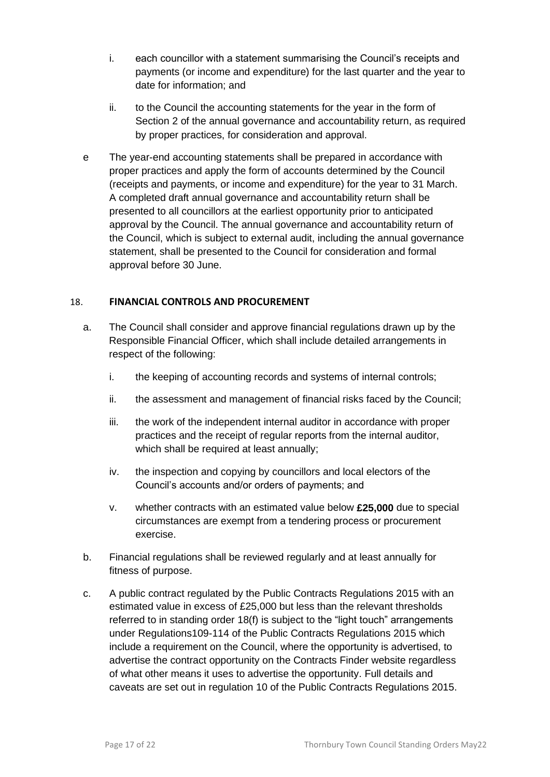- i. each councillor with a statement summarising the Council's receipts and payments (or income and expenditure) for the last quarter and the year to date for information; and
- ii. to the Council the accounting statements for the year in the form of Section 2 of the annual governance and accountability return, as required by proper practices, for consideration and approval.
- e The year-end accounting statements shall be prepared in accordance with proper practices and apply the form of accounts determined by the Council (receipts and payments, or income and expenditure) for the year to 31 March. A completed draft annual governance and accountability return shall be presented to all councillors at the earliest opportunity prior to anticipated approval by the Council. The annual governance and accountability return of the Council, which is subject to external audit, including the annual governance statement, shall be presented to the Council for consideration and formal approval before 30 June.

#### <span id="page-17-0"></span>18. **FINANCIAL CONTROLS AND PROCUREMENT**

- a. The Council shall consider and approve financial regulations drawn up by the Responsible Financial Officer, which shall include detailed arrangements in respect of the following:
	- i. the keeping of accounting records and systems of internal controls;
	- ii. the assessment and management of financial risks faced by the Council;
	- iii. the work of the independent internal auditor in accordance with proper practices and the receipt of regular reports from the internal auditor, which shall be required at least annually;
	- iv. the inspection and copying by councillors and local electors of the Council's accounts and/or orders of payments; and
	- v. whether contracts with an estimated value below **£25,000** due to special circumstances are exempt from a tendering process or procurement exercise.
- b. Financial regulations shall be reviewed regularly and at least annually for fitness of purpose.
- c. A public contract regulated by the Public Contracts Regulations 2015 with an estimated value in excess of £25,000 but less than the relevant thresholds referred to in standing order 18(f) is subject to the "light touch" arrangements under Regulations109-114 of the Public Contracts Regulations 2015 which include a requirement on the Council, where the opportunity is advertised, to advertise the contract opportunity on the Contracts Finder website regardless of what other means it uses to advertise the opportunity. Full details and caveats are set out in regulation 10 of the Public Contracts Regulations 2015.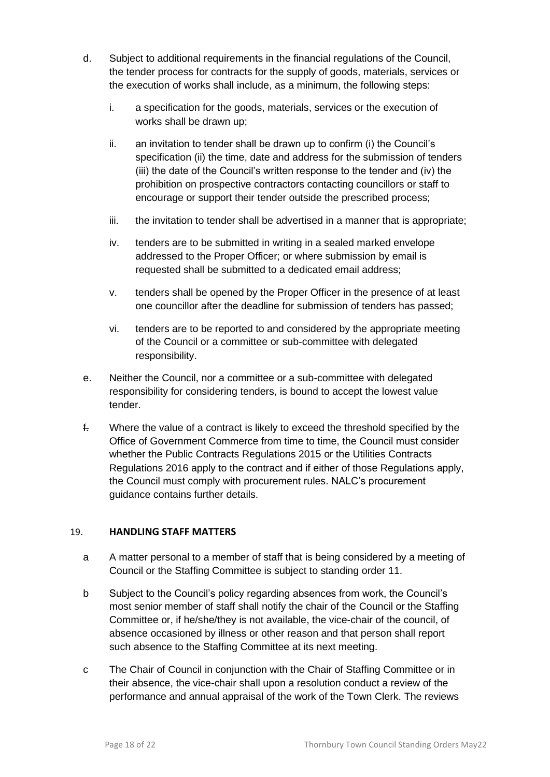- d. Subject to additional requirements in the financial regulations of the Council, the tender process for contracts for the supply of goods, materials, services or the execution of works shall include, as a minimum, the following steps:
	- i. a specification for the goods, materials, services or the execution of works shall be drawn up;
	- ii. an invitation to tender shall be drawn up to confirm (i) the Council's specification (ii) the time, date and address for the submission of tenders (iii) the date of the Council's written response to the tender and (iv) the prohibition on prospective contractors contacting councillors or staff to encourage or support their tender outside the prescribed process;
	- iii. the invitation to tender shall be advertised in a manner that is appropriate;
	- iv. tenders are to be submitted in writing in a sealed marked envelope addressed to the Proper Officer; or where submission by email is requested shall be submitted to a dedicated email address;
	- v. tenders shall be opened by the Proper Officer in the presence of at least one councillor after the deadline for submission of tenders has passed;
	- vi. tenders are to be reported to and considered by the appropriate meeting of the Council or a committee or sub-committee with delegated responsibility.
- e. Neither the Council, nor a committee or a sub-committee with delegated responsibility for considering tenders, is bound to accept the lowest value tender.
- f. Where the value of a contract is likely to exceed the threshold specified by the Office of Government Commerce from time to time, the Council must consider whether the Public Contracts Regulations 2015 or the Utilities Contracts Regulations 2016 apply to the contract and if either of those Regulations apply, the Council must comply with procurement rules. NALC's procurement guidance contains further details.

# <span id="page-18-0"></span>19. **HANDLING STAFF MATTERS**

- a A matter personal to a member of staff that is being considered by a meeting of Council or the Staffing Committee is subject to standing order 11.
- b Subject to the Council's policy regarding absences from work, the Council's most senior member of staff shall notify the chair of the Council or the Staffing Committee or, if he/she/they is not available, the vice-chair of the council, of absence occasioned by illness or other reason and that person shall report such absence to the Staffing Committee at its next meeting.
- c The Chair of Council in conjunction with the Chair of Staffing Committee or in their absence, the vice-chair shall upon a resolution conduct a review of the performance and annual appraisal of the work of the Town Clerk. The reviews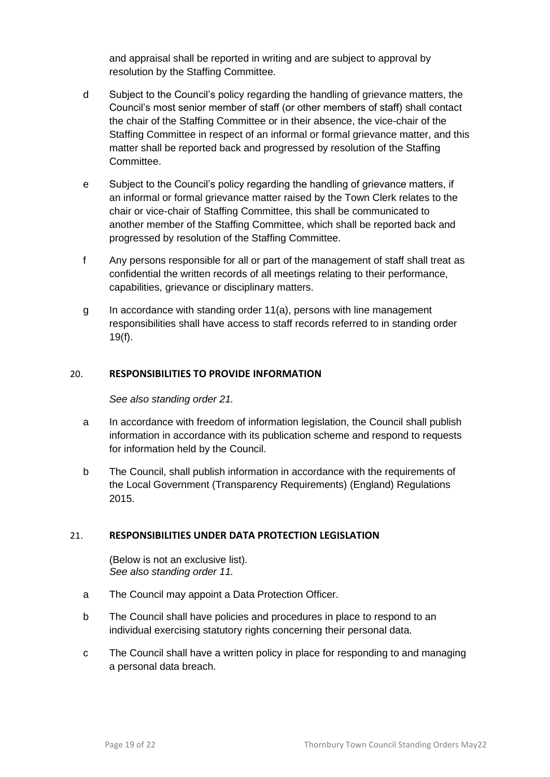and appraisal shall be reported in writing and are subject to approval by resolution by the Staffing Committee.

- d Subject to the Council's policy regarding the handling of grievance matters, the Council's most senior member of staff (or other members of staff) shall contact the chair of the Staffing Committee or in their absence, the vice-chair of the Staffing Committee in respect of an informal or formal grievance matter, and this matter shall be reported back and progressed by resolution of the Staffing Committee.
- e Subject to the Council's policy regarding the handling of grievance matters, if an informal or formal grievance matter raised by the Town Clerk relates to the chair or vice-chair of Staffing Committee, this shall be communicated to another member of the Staffing Committee, which shall be reported back and progressed by resolution of the Staffing Committee.
- f Any persons responsible for all or part of the management of staff shall treat as confidential the written records of all meetings relating to their performance, capabilities, grievance or disciplinary matters.
- g In accordance with standing order 11(a), persons with line management responsibilities shall have access to staff records referred to in standing order 19(f).

#### <span id="page-19-0"></span>20. **RESPONSIBILITIES TO PROVIDE INFORMATION**

*See also standing order 21.*

- a In accordance with freedom of information legislation, the Council shall publish information in accordance with its publication scheme and respond to requests for information held by the Council.
- b The Council, shall publish information in accordance with the requirements of the Local Government (Transparency Requirements) (England) Regulations 2015.

#### <span id="page-19-1"></span>21. **RESPONSIBILITIES UNDER DATA PROTECTION LEGISLATION**

(Below is not an exclusive list). *See also standing order 11.*

- a The Council may appoint a Data Protection Officer.
- b The Council shall have policies and procedures in place to respond to an individual exercising statutory rights concerning their personal data.
- c The Council shall have a written policy in place for responding to and managing a personal data breach.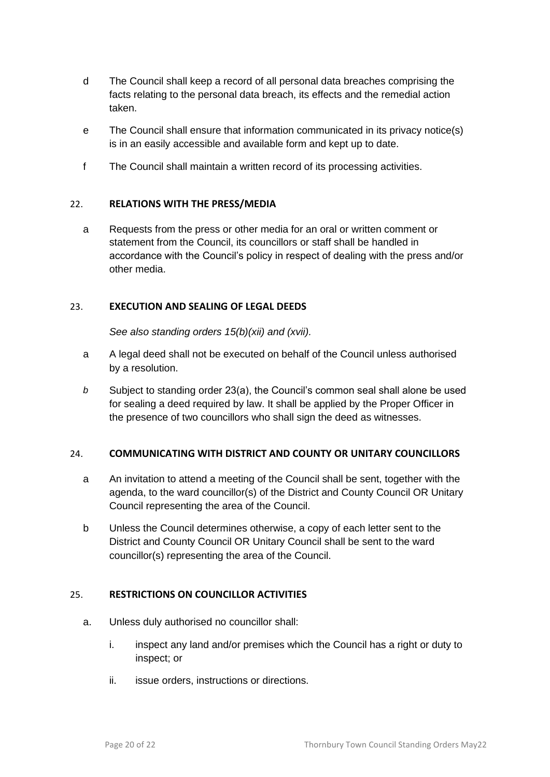- d The Council shall keep a record of all personal data breaches comprising the facts relating to the personal data breach, its effects and the remedial action taken.
- e The Council shall ensure that information communicated in its privacy notice(s) is in an easily accessible and available form and kept up to date.
- f The Council shall maintain a written record of its processing activities.

#### <span id="page-20-0"></span>22. **RELATIONS WITH THE PRESS/MEDIA**

a Requests from the press or other media for an oral or written comment or statement from the Council, its councillors or staff shall be handled in accordance with the Council's policy in respect of dealing with the press and/or other media.

#### <span id="page-20-1"></span>23. **EXECUTION AND SEALING OF LEGAL DEEDS**

*See also standing orders 15(b)(xii) and (xvii).*

- a A legal deed shall not be executed on behalf of the Council unless authorised by a resolution.
- *b* Subject to standing order 23(a), the Council's common seal shall alone be used for sealing a deed required by law. It shall be applied by the Proper Officer in the presence of two councillors who shall sign the deed as witnesses.

# <span id="page-20-2"></span>24. **COMMUNICATING WITH DISTRICT AND COUNTY OR UNITARY COUNCILLORS**

- a An invitation to attend a meeting of the Council shall be sent, together with the agenda, to the ward councillor(s) of the District and County Council OR Unitary Council representing the area of the Council.
- b Unless the Council determines otherwise, a copy of each letter sent to the District and County Council OR Unitary Council shall be sent to the ward councillor(s) representing the area of the Council.

# <span id="page-20-3"></span>25. **RESTRICTIONS ON COUNCILLOR ACTIVITIES**

- a. Unless duly authorised no councillor shall:
	- i. inspect any land and/or premises which the Council has a right or duty to inspect; or
	- ii. issue orders, instructions or directions.